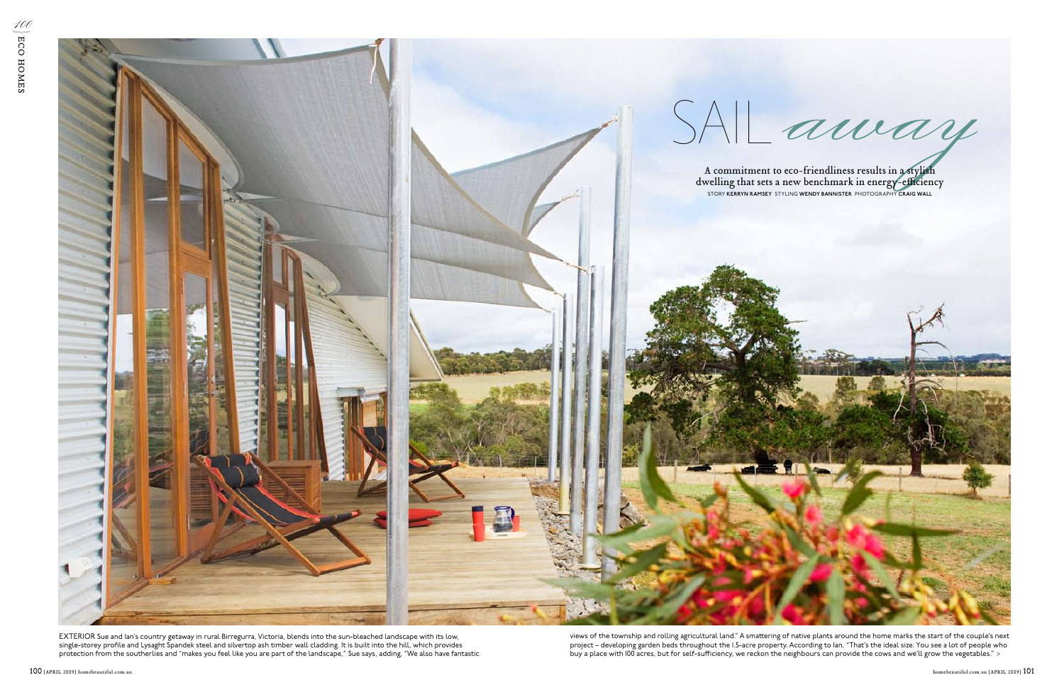views of the township and rolling agricultural land." A smattering of native plants around the home marks the start of the couple's next project – developing garden beds throughout the 1.5-acre property. According to Ian, "That's the ideal size. You see a lot of people who buy a place with 100 acres, but for self-sufficiency, we reckon the neighbours can provide the cows and we'll grow the vegetables." >



EXTERIOR Sue and Ian's country getaway in rural Birregurra, Victoria, blends into the sun-bleached landscape with its low, single-storey profile and Lysaght Spandek steel and silvertop ash timber wall cladding. It is built into the hill, which provides protection from the southerlies and "makes you feel like you are part of the landscape," Sue says, adding, "We also have fantastic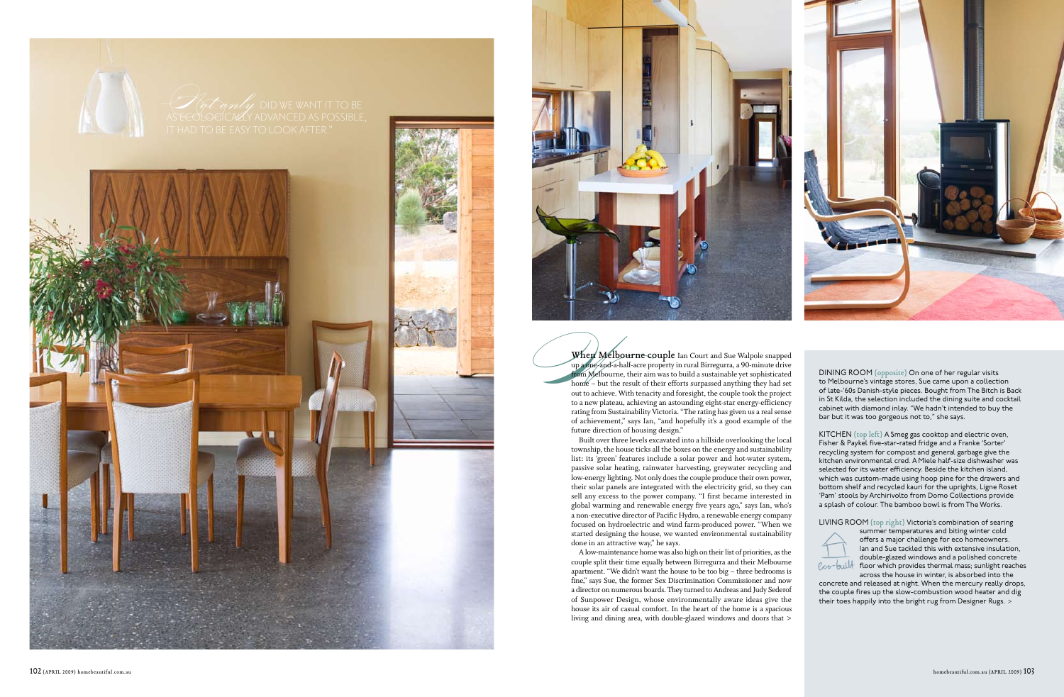



When Melbourne couple Ian Court and Sue Walpole snapped up a one-and-a-half-acre property in rural Birregurra, a 90-minute drive from Melbourne, their aim was to build a sustainable yet sophisticated home – but the result of their efforts surpassed anything they had set out to achieve. With tenacity and foresight, the couple took the project to a new plateau, achieving an astounding eight-star energy-efficiency rating from Sustainability Victoria. "The rating has given us a real sense of achievement," says Ian, "and hopefully it's a good example of the future direction of housing design."

Built over three levels excavated into a hillside overlooking the local township, the house ticks all the boxes on the energy and sustainability list: its 'green' features include a solar power and hot-water system, passive solar heating, rainwater harvesting, greywater recycling and low-energy lighting. Not only does the couple produce their own power, their solar panels are integrated with the electricity grid, so they can sell any excess to the power company. "I first became interested in global warming and renewable energy five years ago," says Ian, who's a non-executive director of Pacific Hydro, a renewable energy company focused on hydroelectric and wind farm-produced power. "When we started designing the house, we wanted environmental sustainability done in an attractive way," he says.

A low-maintenance home was also high on their list of priorities, as the couple split their time equally between Birregurra and their Melbourne apartment. "We didn't want the house to be too big – three bedrooms is fine," says Sue, the former Sex Discrimination Commissioner and now a director on numerous boards. They turned to Andreas and Judy Sederof of Sunpower Design, whose environmentally aware ideas give the house its air of casual comfort. In the heart of the home is a spacious living and dining area, with double-glazed windows and doors that > DINING ROOM {opposite} On one of her regular visits to Melbourne's vintage stores, Sue came upon a collection of late-'60s Danish-style pieces. Bought from The Bitch is Back in St Kilda, the selection included the dining suite and cocktail cabinet with diamond inlay. "We hadn't intended to buy the bar but it was too gorgeous not to," she says.

KITCHEN {top left} A Smeg gas cooktop and electric oven, Fisher & Paykel five-star-rated fridge and a Franke 'Sorter' recycling system for compost and general garbage give the kitchen environmental cred. A Miele half-size dishwasher was selected for its water efficiency. Beside the kitchen island, which was custom-made using hoop pine for the drawers and bottom shelf and recycled kauri for the uprights, Ligne Roset 'Pam' stools by Archirivolto from Domo Collections provide a splash of colour. The bamboo bowl is from The Works.

LIVING ROOM {top right} Victoria's combination of searing



summer temperatures and biting winter cold offers a major challenge for eco homeowners. Ian and Sue tackled this with extensive insulation, double-glazed windows and a polished concrete floor which provides thermal mass; sunlight reaches across the house in winter, is absorbed into the

concrete and released at night. When the mercury really drops, the couple fires up the slow-combustion wood heater and dig their toes happily into the bright rug from Designer Rugs. >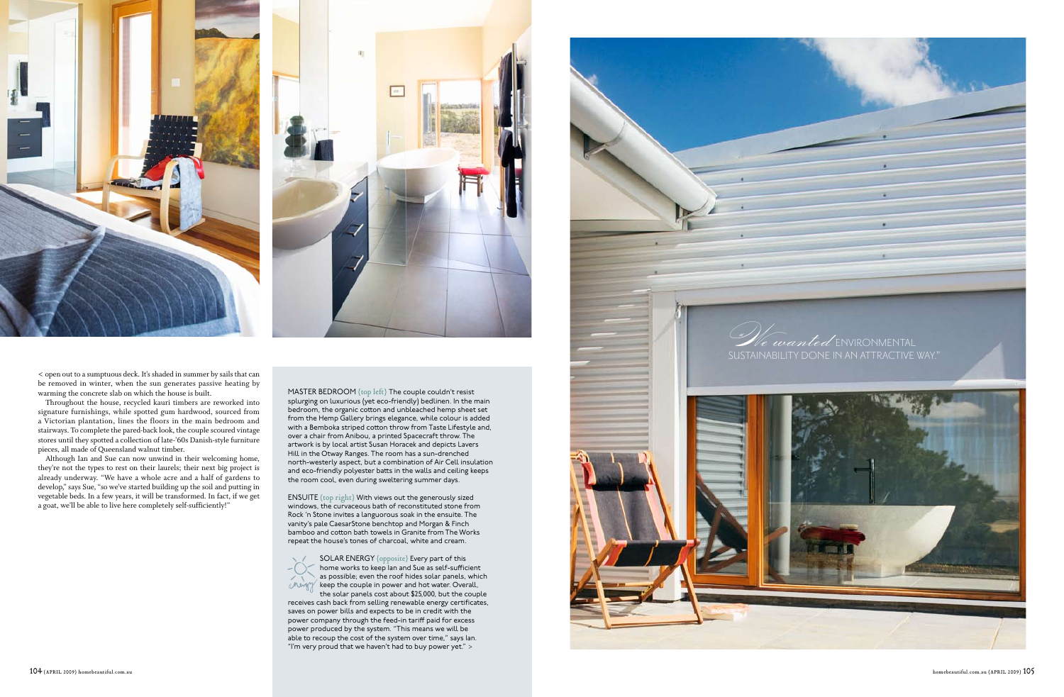MAS T E R BEDROOM {top left} The couple couldn't resist splurging on luxurious (yet eco-friendly) bedlinen. In the main bedroom, the organic cotton and unbleached hemp sheet set from the Hemp Gallery brings elegance, while colour is added with a Bemboka striped cotton throw from Taste Lifestyle and, over a chair from Anibou, a printed Spacecraft throw. The artwork is by local artist Susan Horacek and depicts Lavers Hill in the Otway Ranges. The room has a sun-drenched north-westerly aspect, but a combination of Air Cell insulation and eco-friendly polyester batts in the walls and ceiling keeps the room cool, even during sweltering summer days.

> $\mathsf{SOLAR}\ \mathsf{ENERGY}\ \{\text{opposite}\}\ \mathsf{Every}\ \mathsf{part}\ \mathsf{of}\ \mathsf{this}$ home works to keep Ian and Sue as self-sufficient as possible; even the roof hides solar panels, which keep the couple in power and hot water. Overall, the solar panels cost about \$25,000, but the couple

ENSUITE {top right} With views out the generously sized Rock 'n Stone invites a languorous soak in the ensuite. The vanity's pale CaesarStone benchtop and Morgan & Finch bamboo and cotton bath towels in Granite from The Works repeat the house's tones of charcoal, white and cream.



receives cash back from selling renewable energy certificates, saves on power bills and expects to be in credit with the power company through the feed-in tariff paid for excess power produced by the system. " This means we will be able to recoup the cost of the system over time," says Ian. " I'm very proud that we haven't had to buy power yet." >











< open out to a sumptuous deck. It's shaded in summer by sails that can be removed in winter, when the sun generates passive heating by warming the concrete slab on which the house is built.

Throughout the house, recycled kauri timbers are reworked into signature furnishings, while spotted gum hardwood, sourced from a Victorian plantation, lines the floors in the main bedroom and stairways. To complete the pared-back look, the couple scoured vintage stores until they spotted a collection of late-'60s Danish-style furniture pieces, all made of Queensland walnut timber.

Although Ian and Sue can now unwind in their welcoming home, they're not the types to rest on their laurels; their next big project is already underway. "We have a whole acre and a half of gardens to develop," says Sue, "so we've started building up the soil and putting in vegetable beds. In a few years, it will be transformed. In fact, if we get a goat, we'll be able to live here completely self-sufficiently!"